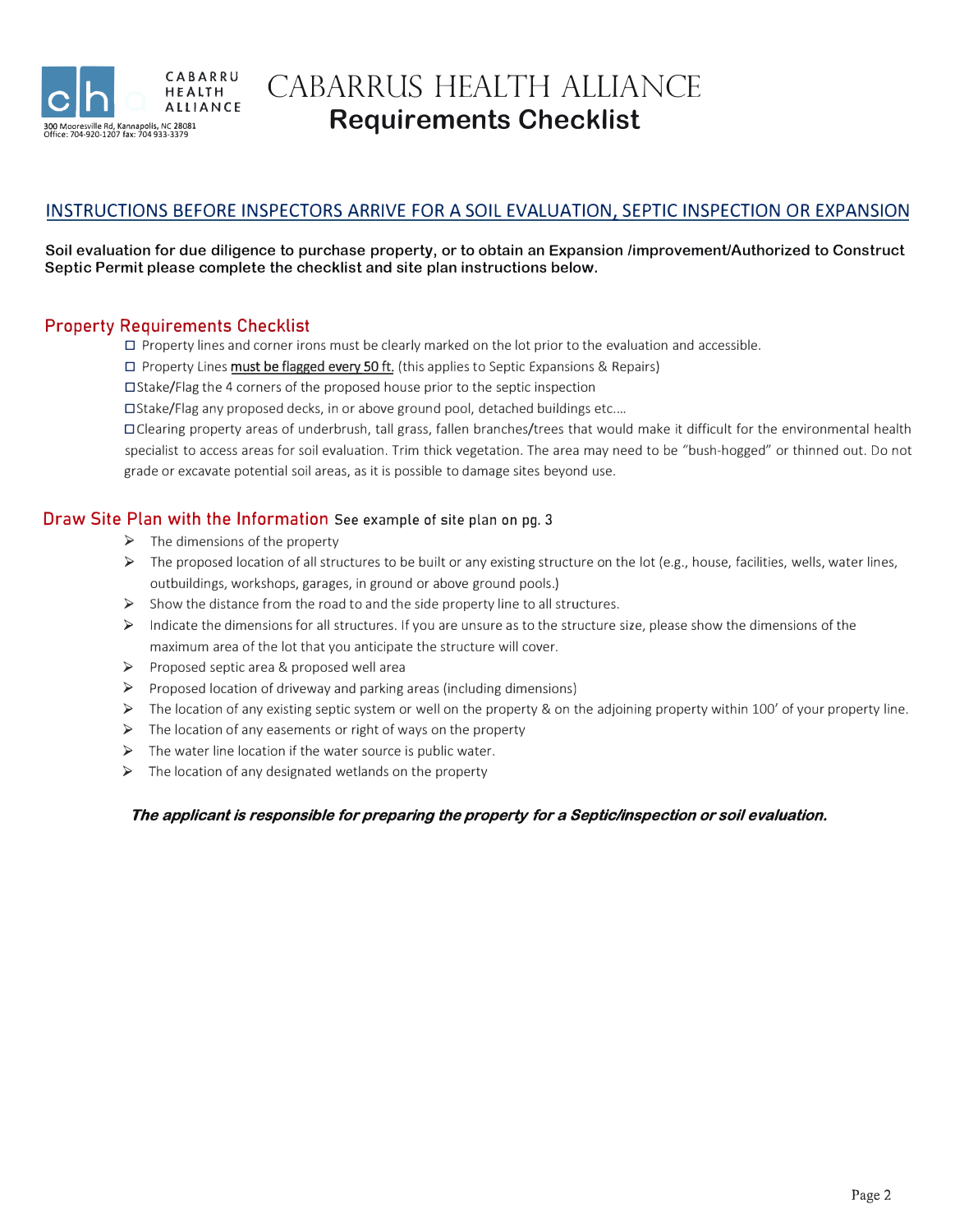

CABARRUS HEALTH ALLIANCE **Requirements Checklist** 

## INSTRUCTIONS BEFORE INSPECTORS ARRIVE FOR A SOIL EVALUATION, SEPTIC INSPECTION OR EXPANSION

#### **Soil evaluation for due diligence to purchase property, or to obtain an Expansion /improvemenUAuthorized to Construct Septic Permit please complete the checklist and site plan instructions below.**

### **Property Requirements Checklist**

 $\Box$  Property lines and corner irons must be clearly marked on the lot prior to the evaluation and accessible.

D Property Lines **must be flagged every 50 ft.** (this applies to Septic Expansions & Repairs)

D Stake/Flag the 4 corners of the proposed house prior to the septic inspection

 $\square$ Stake/Flag any proposed decks, in or above ground pool, detached buildings etc....

D Clearing property areas of underbrush, tall grass, fallen branches/trees that would make it difficult for the environmental health specialist to access areas for soil evaluation. Trim thick vegetation. The area may need to be "bush-hogged" or thinned out. Do not grade or excavate potential soil areas, as it is possible to damage sites beyond use.

#### **Draw Site Plan with the Information** See example of site plan on pg. 3

- $\triangleright$  The dimensions of the property
- $\triangleright$  The proposed location of all structures to be built or any existing structure on the lot (e.g., house, facilities, wells, water lines, outbuildings, workshops, garages, in ground or above ground pools.)
- $\triangleright$  Show the distance from the road to and the side property line to all structures.
- $\triangleright$  Indicate the dimensions for all structures. If you are unsure as to the structure size, please show the dimensions of the maximum area of the lot that you anticipate the structure will cover.
- � Proposed septic area & proposed well area
- $\triangleright$  Proposed location of driveway and parking areas (including dimensions)
- $\triangleright$  The location of any existing septic system or well on the property & on the adjoining property within 100' of your property line.
- $\triangleright$  The location of any easements or right of ways on the property
- $\triangleright$  The water line location if the water source is public water.
- $\triangleright$  The location of any designated wetlands on the property

#### *The applicant is responsible for preparing the property for a Septic/inspection or soil evaluation.*